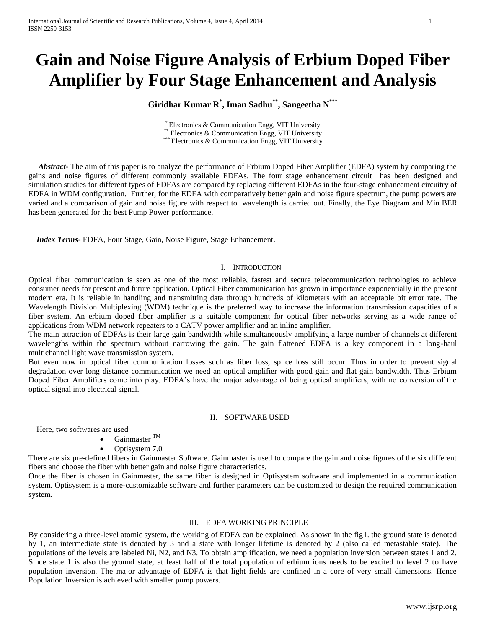# **Gain and Noise Figure Analysis of Erbium Doped Fiber Amplifier by Four Stage Enhancement and Analysis**

# **Giridhar Kumar R\* , Iman Sadhu\*\*, Sangeetha N\*\*\***

\* Electronics & Communication Engg, VIT University \*\* Electronics & Communication Engg, VIT University \*\*\* Electronics & Communication Engg, VIT University

 *Abstract***-** The aim of this paper is to analyze the performance of Erbium Doped Fiber Amplifier (EDFA) system by comparing the gains and noise figures of different commonly available EDFAs. The four stage enhancement circuit has been designed and simulation studies for different types of EDFAs are compared by replacing different EDFAs in the four-stage enhancement circuitry of EDFA in WDM configuration. Further, for the EDFA with comparatively better gain and noise figure spectrum, the pump powers are varied and a comparison of gain and noise figure with respect to wavelength is carried out. Finally, the Eye Diagram and Min BER has been generated for the best Pump Power performance.

 *Index Terms*- EDFA, Four Stage, Gain, Noise Figure, Stage Enhancement.

# I. INTRODUCTION

Optical fiber communication is seen as one of the most reliable, fastest and secure telecommunication technologies to achieve consumer needs for present and future application. Optical Fiber communication has grown in importance exponentially in the present modern era. It is reliable in handling and transmitting data through hundreds of kilometers with an acceptable bit error rate. The Wavelength Division Multiplexing (WDM) technique is the preferred way to increase the information transmission capacities of a fiber system. An erbium doped fiber amplifier is a suitable component for optical fiber networks serving as a wide range of applications from WDM network repeaters to a CATV power amplifier and an inline amplifier.

The main attraction of EDFAs is their large gain bandwidth while simultaneously amplifying a large number of channels at different wavelengths within the spectrum without narrowing the gain. The gain flattened EDFA is a key component in a long-haul multichannel light wave transmission system.

But even now in optical fiber communication losses such as fiber loss, splice loss still occur. Thus in order to prevent signal degradation over long distance communication we need an optical amplifier with good gain and flat gain bandwidth. Thus Erbium Doped Fiber Amplifiers come into play. EDFA's have the major advantage of being optical amplifiers, with no conversion of the optical signal into electrical signal.

# II. SOFTWARE USED

Here, two softwares are used

- Gainmaster TM
- Optisystem 7.0

There are six pre-defined fibers in Gainmaster Software. Gainmaster is used to compare the gain and noise figures of the six different fibers and choose the fiber with better gain and noise figure characteristics.

Once the fiber is chosen in Gainmaster, the same fiber is designed in Optisystem software and implemented in a communication system. Optisystem is a more-customizable software and further parameters can be customized to design the required communication system.

# III. EDFA WORKING PRINCIPLE

By considering a three-level atomic system, the working of EDFA can be explained. As shown in the fig1. the ground state is denoted by 1, an intermediate state is denoted by 3 and a state with longer lifetime is denoted by 2 (also called metastable state). The populations of the levels are labeled Ni, N2, and N3. To obtain amplification, we need a population inversion between states 1 and 2. Since state 1 is also the ground state, at least half of the total population of erbium ions needs to be excited to level 2 to have population inversion. The major advantage of EDFA is that light fields are confined in a core of very small dimensions. Hence Population Inversion is achieved with smaller pump powers.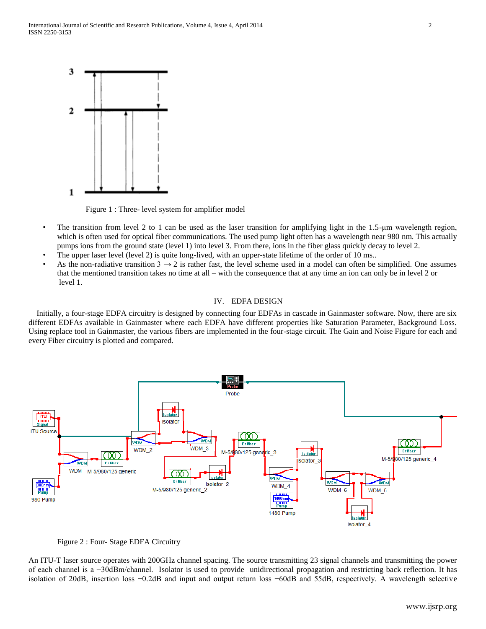

Figure 1 : Three- level system for amplifier model

- The transition from level 2 to 1 can be used as the laser transition for amplifying light in the 1.5-µm wavelength region, which is often used for optical fiber communications. The used pump light often has a wavelength near 980 nm. This actually pumps ions from the ground state (level 1) into level 3. From there, ions in the fiber glass quickly decay to level 2.
- The upper laser level (level 2) is quite long-lived, with an upper-state lifetime of the order of 10 ms..
- As the non-radiative transition  $3 \rightarrow 2$  is rather fast, the level scheme used in a model can often be simplified. One assumes that the mentioned transition takes no time at all – with the consequence that at any time an ion can only be in level 2 or level 1.

#### IV. EDFA DESIGN

 Initially, a four-stage EDFA circuitry is designed by connecting four EDFAs in cascade in Gainmaster software. Now, there are six different EDFAs available in Gainmaster where each EDFA have different properties like Saturation Parameter, Background Loss. Using replace tool in Gainmaster, the various fibers are implemented in the four-stage circuit. The Gain and Noise Figure for each and every Fiber circuitry is plotted and compared.





An ITU-T laser source operates with 200GHz channel spacing. The source transmitting 23 signal channels and transmitting the power of each channel is a −30dBm/channel. Isolator is used to provide unidirectional propagation and restricting back reflection. It has isolation of 20dB, insertion loss −0.2dB and input and output return loss −60dB and 55dB, respectively. A wavelength selective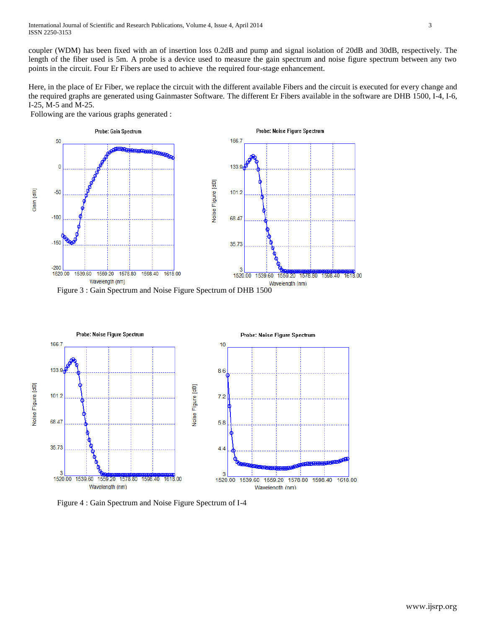coupler (WDM) has been fixed with an of insertion loss 0.2dB and pump and signal isolation of 20dB and 30dB, respectively. The length of the fiber used is 5m. A probe is a device used to measure the gain spectrum and noise figure spectrum between any two points in the circuit. Four Er Fibers are used to achieve the required four-stage enhancement.

Here, in the place of Er Fiber, we replace the circuit with the different available Fibers and the circuit is executed for every change and the required graphs are generated using Gainmaster Software. The different Er Fibers available in the software are DHB 1500, I-4, I-6, I-25, M-5 and M-25.

Following are the various graphs generated :



Figure 3 : Gain Spectrum and Noise Figure Spectrum of DHB 1500



Figure 4 : Gain Spectrum and Noise Figure Spectrum of I-4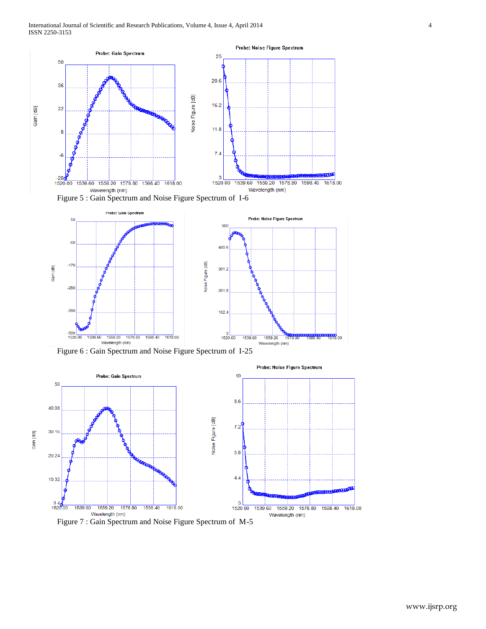





Figure 6 : Gain Spectrum and Noise Figure Spectrum of I-25

Gain [dB]



Figure 7 : Gain Spectrum and Noise Figure Spectrum of M-5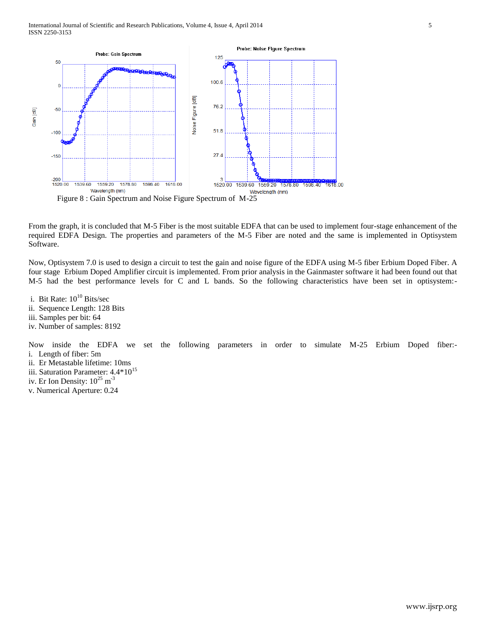

From the graph, it is concluded that M-5 Fiber is the most suitable EDFA that can be used to implement four-stage enhancement of the required EDFA Design. The properties and parameters of the M-5 Fiber are noted and the same is implemented in Optisystem Software.

Now, Optisystem 7.0 is used to design a circuit to test the gain and noise figure of the EDFA using M-5 fiber Erbium Doped Fiber. A four stage Erbium Doped Amplifier circuit is implemented. From prior analysis in the Gainmaster software it had been found out that M-5 had the best performance levels for C and L bands. So the following characteristics have been set in optisystem:-

i. Bit Rate:  $10^{10}$  Bits/sec

- ii. Sequence Length: 128 Bits
- iii. Samples per bit: 64
- iv. Number of samples: 8192

Now inside the EDFA we set the following parameters in order to simulate M-25 Erbium Doped fiber: i. Length of fiber: 5m

- ii. Er Metastable lifetime: 10ms
- iii. Saturation Parameter:  $4.4*10^{15}$
- iv. Er Ion Density:  $10^{25}$  m<sup>-3</sup>
- v. Numerical Aperture: 0.24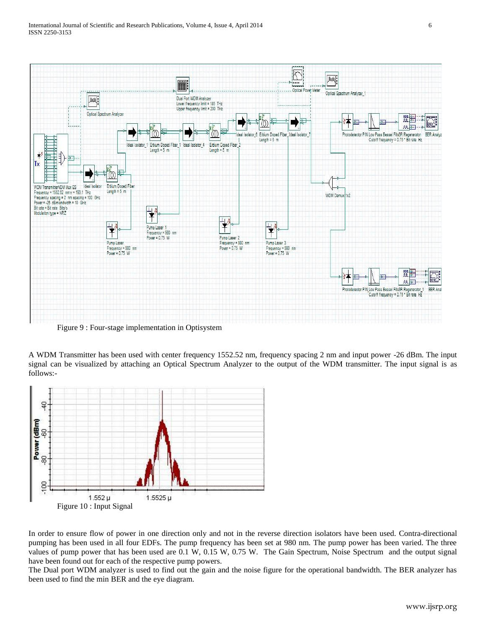

Figure 9 : Four-stage implementation in Optisystem

A WDM Transmitter has been used with center frequency 1552.52 nm, frequency spacing 2 nm and input power -26 dBm. The input signal can be visualized by attaching an Optical Spectrum Analyzer to the output of the WDM transmitter. The input signal is as follows:-



In order to ensure flow of power in one direction only and not in the reverse direction isolators have been used. Contra-directional pumping has been used in all four EDFs. The pump frequency has been set at 980 nm. The pump power has been varied. The three values of pump power that has been used are 0.1 W, 0.15 W, 0.75 W. The Gain Spectrum, Noise Spectrum and the output signal have been found out for each of the respective pump powers.

The Dual port WDM analyzer is used to find out the gain and the noise figure for the operational bandwidth. The BER analyzer has been used to find the min BER and the eye diagram.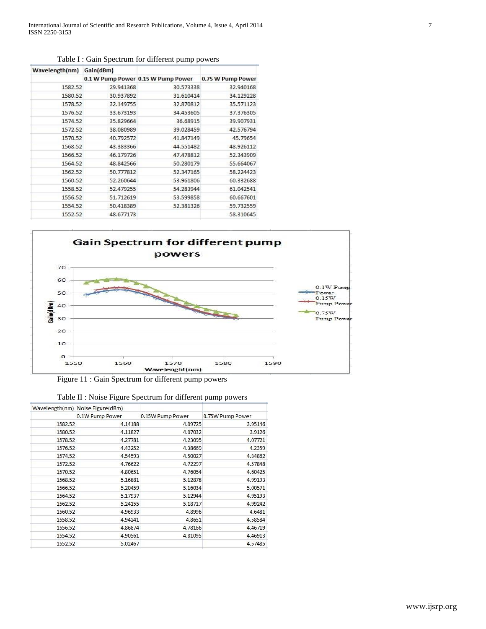| Wavelength(nm) | Gain(dBm) |                                    |                   |  |  |
|----------------|-----------|------------------------------------|-------------------|--|--|
|                |           | 0.1 W Pump Power 0.15 W Pump Power | 0.75 W Pump Power |  |  |
| 1582.52        | 29.941368 | 30.573338                          | 32.940168         |  |  |
| 1580.52        | 30.937892 | 31.610414                          | 34.129228         |  |  |
| 1578.52        | 32.149755 | 32.870812                          | 35.571123         |  |  |
| 1576.52        | 33.673193 | 34.453605                          | 37.376305         |  |  |
| 1574.52        | 35.829664 | 36,68915                           | 39.907931         |  |  |
| 1572.52        | 38.080989 | 39.028459                          | 42.576794         |  |  |
| 1570.52        | 40.792572 | 41.847149                          | 45.79654          |  |  |
| 1568.52        | 43.383366 | 44.551482                          | 48.926112         |  |  |
| 1566.52        | 46,179726 | 47.478812                          | 52.343909         |  |  |
| 1564.52        | 48.842566 | 50.280179                          | 55.664067         |  |  |
| 1562.52        | 50.777812 | 52.347165                          | 58.224423         |  |  |
| 1560.52        | 52.260644 | 53.961806                          | 60.332688         |  |  |
| 1558.52        | 52.479255 | 54.283944                          | 61.042541         |  |  |
| 1556.52        | 51,712619 | 53.599858                          | 60.667601         |  |  |
| 1554.52        | 50.418389 | 52.381326                          | 59.732559         |  |  |
| 1552.52        | 48.677173 |                                    | 58.310645         |  |  |

Table I : Gain Spectrum for different pump powers



Figure 11 : Gain Spectrum for different pump powers

|         | Wavelength(nm) Noise Figure(dBm) |                  |                  |
|---------|----------------------------------|------------------|------------------|
|         | 0.1W Pump Power                  | 0.15W Pump Power | 0.75W Pump Power |
| 1582.52 | 4.14188                          | 4.09725          | 3.95146          |
| 1580.52 | 4.11827                          | 4.07032          | 3.9126           |
| 1578.52 | 4.27781                          | 4.23095          | 4.07721          |
| 1576.52 | 4.43252                          | 4.38669          | 4.2359           |
| 1574.52 | 4.54593                          | 4.50027          | 4.34862          |
| 1572.52 | 4.76622                          | 4.72297          | 4.57848          |
| 1570.52 | 4.80651                          | 4.76054          | 4.60425          |
| 1568.52 | 5.16881                          | 5.12878          | 4.99193          |
| 1566.52 | 5.20459                          | 5.16034          | 5.00571          |
| 1564.52 | 5.17937                          | 5.12944          | 4.95193          |
| 1562.52 | 5.24155                          | 5.18717          | 4.99242          |
| 1560.52 | 4.96933                          | 4.8996           | 4.6481           |
| 1558.52 | 4.94241                          | 4.8651           | 4.58584          |
| 1556.52 | 4.86874                          | 4.78166          | 4.46719          |
| 1554.52 | 4.90561                          | 4.81095          | 4.46913          |
| 1552.52 | 5.02467                          |                  | 4.57485          |

|  |  |  | Table II : Noise Figure Spectrum for different pump powers |  |
|--|--|--|------------------------------------------------------------|--|
|  |  |  |                                                            |  |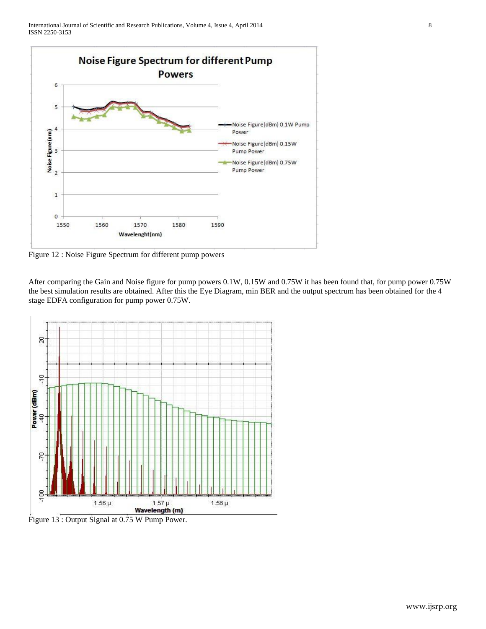

Figure 12 : Noise Figure Spectrum for different pump powers

After comparing the Gain and Noise figure for pump powers 0.1W, 0.15W and 0.75W it has been found that, for pump power 0.75W the best simulation results are obtained. After this the Eye Diagram, min BER and the output spectrum has been obtained for the 4 stage EDFA configuration for pump power 0.75W.



Figure 13 : Output Signal at 0.75 W Pump Power.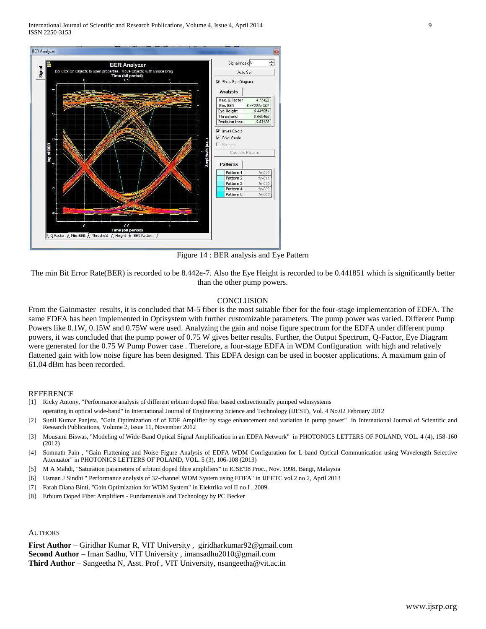International Journal of Scientific and Research Publications, Volume 4, Issue 4, April 2014 9 ISSN 2250-3153



Figure 14 : BER analysis and Eye Pattern

The min Bit Error Rate(BER) is recorded to be 8.442e-7. Also the Eye Height is recorded to be 0.441851 which is significantly better than the other pump powers.

#### **CONCLUSION**

From the Gainmaster results, it is concluded that M-5 fiber is the most suitable fiber for the four-stage implementation of EDFA. The same EDFA has been implemented in Optisystem with further customizable parameters. The pump power was varied. Different Pump Powers like 0.1W, 0.15W and 0.75W were used. Analyzing the gain and noise figure spectrum for the EDFA under different pump powers, it was concluded that the pump power of 0.75 W gives better results. Further, the Output Spectrum, Q-Factor, Eye Diagram were generated for the 0.75 W Pump Power case . Therefore, a four-stage EDFA in WDM Configuration with high and relatively flattened gain with low noise figure has been designed. This EDFA design can be used in booster applications. A maximum gain of 61.04 dBm has been recorded.

### **REFERENCE**

- [1] Ricky Antony, "Performance analysis of different erbium doped fiber based codirectionally pumped wdmsystems
- operating in optical wide-band" in International Journal of Engineering Science and Technology (IJEST), Vol. 4 No.02 February 2012
- [2] Sunil Kumar Panjeta, "Gain Optimization of of EDF Amplifier by stage enhancement and variation in pump power" in International Journal of Scientific and Research Publications, Volume 2, Issue 11, November 2012
- [3] Mousami Biswas, "Modeling of Wide-Band Optical Signal Amplification in an EDFA Network" in PHOTONICS LETTERS OF POLAND, VOL. 4 (4), 158-160 (2012)
- [4] Somnath Pain , "Gain Flattening and Noise Figure Analysis of EDFA WDM Configuration for L-band Optical Communication using Wavelength Selective Attenuator" in PHOTONICS LETTERS OF POLAND, VOL. 5 (3), 106-108 (2013)
- [5] M A Mahdi, "Saturation parameters of erbium doped fibre amplifiers" in ICSE'98 Proc., Nov. 1998, Bangi, Malaysia
- [6] Usman J Sindhi " Performance analysis of 32-channel WDM System using EDFA" in IJEETC vol.2 no 2, April 2013
- [7] Farah Diana Binti, "Gain Optimization for WDM System" in Elektrika vol II no I , 2009.
- [8] Erbium Doped Fiber Amplifiers Fundamentals and Technology by PC Becker

#### AUTHORS

**First Author** – Giridhar Kumar R, VIT University , giridharkumar92@gmail.com **Second Author** – Iman Sadhu, VIT University , imansadhu2010@gmail.com **Third Author** – Sangeetha N, Asst. Prof , VIT University, nsangeetha@vit.ac.in